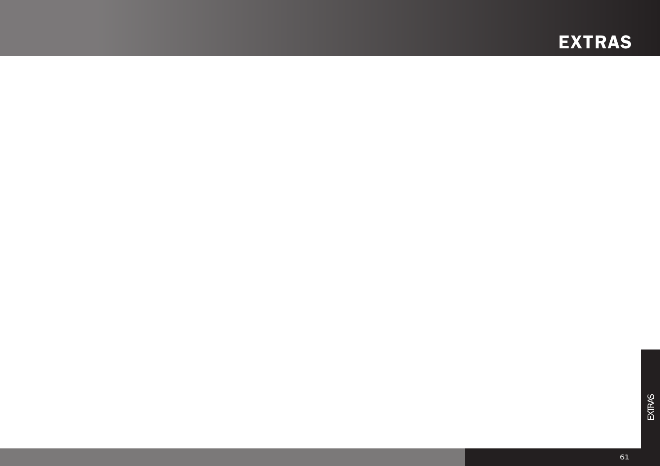### EXTRAS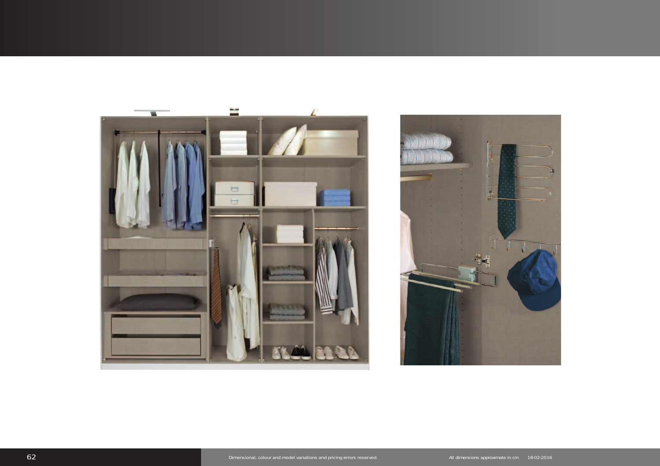

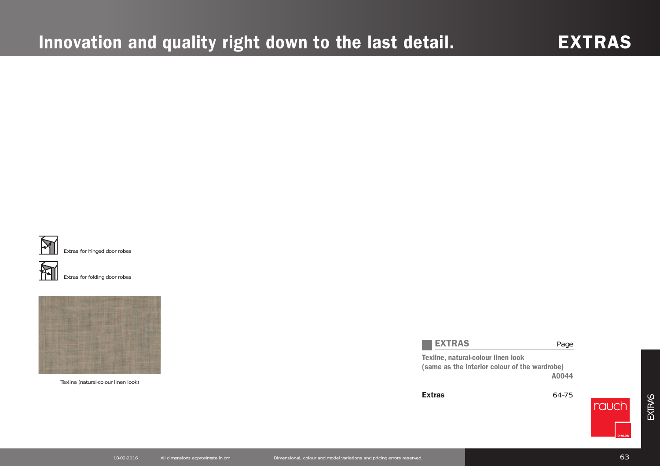### **Innovation and quality right down to the last detail. EXTRAS**



Extras for hinged door robes



Extras for folding door robes



Texline (natural-colour linen look)

| <b>EXTRAS</b>                      | Page |
|------------------------------------|------|
| Texline, natural-colour linen look |      |

(same as the interior colour of the wardrobe) A0044

Extras 64-75

**rauch**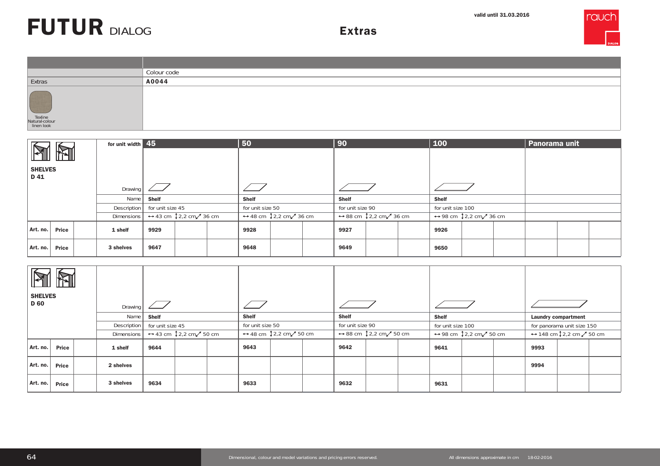## FUTUR DIALOG



|                                         | Colour code |
|-----------------------------------------|-------------|
| Extras                                  | A0044       |
| Texline<br>Natural-colour<br>linen look |             |

|                        |       |      | for unit width 45 |                  |                                                              | 50                                                           |  |              | 90                                                           |  |              | $\vert$ 100                                                  |  |  | <b>Panorama unit</b> |  |
|------------------------|-------|------|-------------------|------------------|--------------------------------------------------------------|--------------------------------------------------------------|--|--------------|--------------------------------------------------------------|--|--------------|--------------------------------------------------------------|--|--|----------------------|--|
| <b>SHELVES</b><br>D 41 |       |      | Drawing           |                  |                                                              |                                                              |  |              |                                                              |  |              |                                                              |  |  |                      |  |
|                        |       | Name | Shelf             |                  | <b>Shelf</b>                                                 |                                                              |  | <b>Shelf</b> |                                                              |  | <b>Shelf</b> |                                                              |  |  |                      |  |
|                        |       |      | Description       | for unit size 45 |                                                              | for unit size 50                                             |  |              | for unit size 90                                             |  |              | for unit size 100                                            |  |  |                      |  |
|                        |       |      | Dimensions        |                  | $\leftrightarrow$ 43 cm $\downarrow$ 2,2 cm $\swarrow$ 36 cm | $\leftrightarrow$ 48 cm $\downarrow$ 2,2 cm $\swarrow$ 36 cm |  |              | $\leftrightarrow$ 88 cm $\downarrow$ 2,2 cm $\swarrow$ 36 cm |  |              | $\leftrightarrow$ 98 cm $\downarrow$ 2,2 cm $\swarrow$ 36 cm |  |  |                      |  |
| Art. no.               | Price |      | 1 shelf           | 9929             |                                                              | 9928                                                         |  |              | 9927                                                         |  |              | 9926                                                         |  |  |                      |  |
| Art. no.               | Price |      | 3 shelves         | 9647             |                                                              | 9648                                                         |  |              | 9649                                                         |  |              | 9650                                                         |  |  |                      |  |

| <b>SHELVES</b><br><b>D 60</b> | Drawing                                                                    |                  |              |                                                              |  |                                                              |                  |  |                                                              |                                                                 |      |                            |  |
|-------------------------------|----------------------------------------------------------------------------|------------------|--------------|--------------------------------------------------------------|--|--------------------------------------------------------------|------------------|--|--------------------------------------------------------------|-----------------------------------------------------------------|------|----------------------------|--|
|                               | Name<br><b>Shelf</b>                                                       |                  | <b>Shelf</b> |                                                              |  | Shelf                                                        |                  |  | <b>Shelf</b>                                                 | <b>Laundry compartment</b>                                      |      |                            |  |
|                               | Description                                                                | for unit size 45 |              | for unit size 50                                             |  |                                                              | for unit size 90 |  |                                                              | for unit size 100                                               |      | for panorama unit size 150 |  |
|                               | $\leftrightarrow$ 43 cm $\downarrow$ 2,2 cm $\swarrow$ 50 cm<br>Dimensions |                  |              | $\leftrightarrow$ 48 cm $\downarrow$ 2,2 cm $\swarrow$ 50 cm |  | $\leftrightarrow$ 88 cm $\downarrow$ 2,2 cm $\swarrow$ 50 cm |                  |  | $\leftrightarrow$ 98 cm $\downarrow$ 2,2 cm $\swarrow$ 50 cm | $\leftrightarrow$ 148 cm $\updownarrow$ 2,2 cm $\swarrow$ 50 cm |      |                            |  |
| Art. no.<br>Price             | 1 shelf                                                                    | 9644             | 9643         |                                                              |  |                                                              | 9642             |  |                                                              | 9641                                                            | 9993 |                            |  |
| Art. no.<br>Price             | 2 shelves                                                                  |                  |              |                                                              |  |                                                              |                  |  |                                                              |                                                                 | 9994 |                            |  |
| Art. no.<br>Price             | 3 shelves                                                                  | 9634             |              | 9633                                                         |  |                                                              | 9632             |  |                                                              | 9631                                                            |      |                            |  |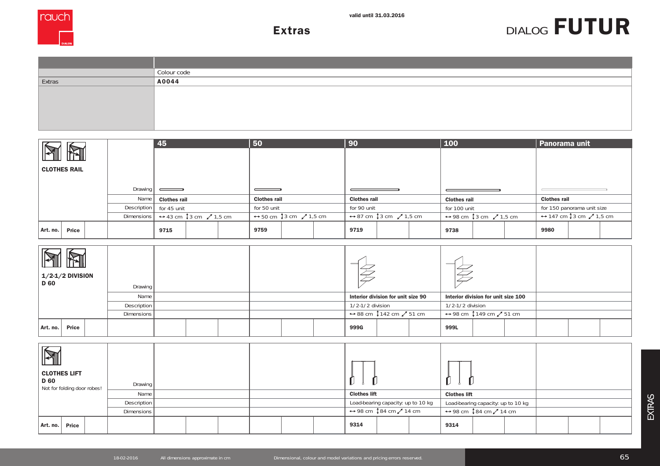

|        | Colour code |
|--------|-------------|
| Extras | A0044       |
|        |             |
|        |             |
|        |             |
|        |             |
|        |             |

| <b>CLOTHES RAIL</b> |      | 45                                                                 |      |  | 50          |                                                             |  | 90          |                                                           |  | 100                 |                                                             |  | Panorama unit              |                                                              |  |
|---------------------|------|--------------------------------------------------------------------|------|--|-------------|-------------------------------------------------------------|--|-------------|-----------------------------------------------------------|--|---------------------|-------------------------------------------------------------|--|----------------------------|--------------------------------------------------------------|--|
|                     |      | $Drawing$ $\qquad \qquad \qquad$                                   | ____ |  |             |                                                             |  |             |                                                           |  |                     |                                                             |  |                            |                                                              |  |
|                     | Name | <b>Clothes rail</b>                                                |      |  |             | <b>Clothes rail</b>                                         |  |             | <b>Clothes rail</b>                                       |  | <b>Clothes rail</b> |                                                             |  | <b>Clothes rail</b>        |                                                              |  |
|                     |      | Description   for 45 unit                                          |      |  | for 50 unit |                                                             |  | for 90 unit |                                                           |  | for 100 unit        |                                                             |  | for 150 panorama unit size |                                                              |  |
|                     |      | Dimensions $\rightarrow$ 43 cm $\downarrow$ 3 cm $\swarrow$ 1,5 cm |      |  |             | $\leftrightarrow$ 50 cm $\downarrow$ 3 cm $\swarrow$ 1,5 cm |  |             | $\rightarrow$ 87 cm $\updownarrow$ 3 cm $\swarrow$ 1,5 cm |  |                     | $\leftrightarrow$ 98 cm $\downarrow$ 3 cm $\swarrow$ 1,5 cm |  |                            | $\leftrightarrow$ 147 cm $\downarrow$ 3 cm $\swarrow$ 1,5 cm |  |
| Price<br>Art. no.   |      | 9715                                                               |      |  | 9759        |                                                             |  | 9719        |                                                           |  | 9738                |                                                             |  | 9980                       |                                                              |  |

| $\frac{1}{2}$ -1/2 DIVISION<br><b>D</b> 60 |                | Drawing     |  |  |  | —                |                                                              |                  |                                                              |  |  |
|--------------------------------------------|----------------|-------------|--|--|--|------------------|--------------------------------------------------------------|------------------|--------------------------------------------------------------|--|--|
|                                            |                | Name I      |  |  |  |                  | Interior division for unit size 90                           |                  | Interior division for unit size 100                          |  |  |
|                                            |                | Description |  |  |  | 1/2-1/2 division |                                                              | 1/2-1/2 division |                                                              |  |  |
|                                            |                | Dimensions  |  |  |  |                  | $\leftrightarrow$ 88 cm $\downarrow$ 142 cm $\swarrow$ 51 cm |                  | $\leftrightarrow$ 98 cm $\downarrow$ 149 cm $\swarrow$ 51 cm |  |  |
|                                            | Art. no. Price |             |  |  |  | 999G             |                                                              | 999L             |                                                              |  |  |

| S<br><b>D</b> 60 | <b>CLOTHES LIFT</b><br>Not for folding door robes! |  | Drawing     |  |  |                     |      |                                                             |      |                                                        |  |  |
|------------------|----------------------------------------------------|--|-------------|--|--|---------------------|------|-------------------------------------------------------------|------|--------------------------------------------------------|--|--|
|                  | Name I                                             |  |             |  |  | <b>Clothes lift</b> |      | <b>Clothes lift</b>                                         |      |                                                        |  |  |
|                  |                                                    |  | Description |  |  |                     |      | Load-bearing capacity: up to 10 kg                          |      | Load-bearing capacity: up to 10 kg                     |  |  |
|                  |                                                    |  | Dimensions  |  |  |                     |      | $\leftrightarrow$ 98 cm $\downarrow$ 84 cm $\swarrow$ 14 cm |      | $\leftrightarrow$ 98 cm $\sqrt{184}$ cm $\sqrt{14}$ cm |  |  |
| Art. no.         | Price                                              |  |             |  |  |                     | 9314 |                                                             | 9314 |                                                        |  |  |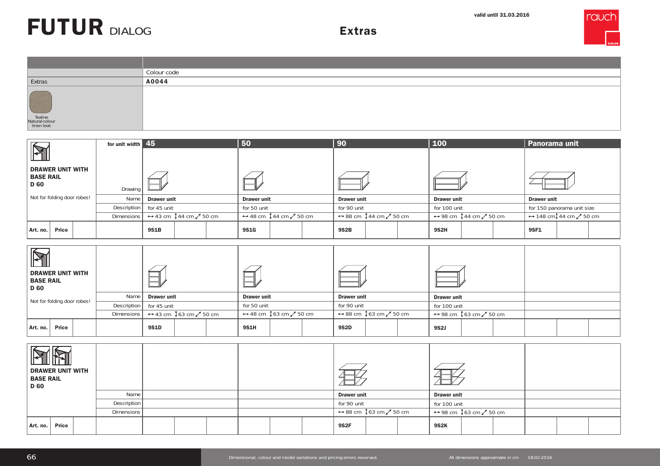# FUTUR DIALOG

### Extras



|                                         |                   | Colour code                                                 |                    |                                                             |                                                                            |                                                             |                    |                                                             |  |                                                                |                            |  |
|-----------------------------------------|-------------------|-------------------------------------------------------------|--------------------|-------------------------------------------------------------|----------------------------------------------------------------------------|-------------------------------------------------------------|--------------------|-------------------------------------------------------------|--|----------------------------------------------------------------|----------------------------|--|
| Extras                                  |                   | A0044                                                       |                    |                                                             |                                                                            |                                                             |                    |                                                             |  |                                                                |                            |  |
|                                         |                   |                                                             |                    |                                                             |                                                                            |                                                             |                    |                                                             |  |                                                                |                            |  |
| Texline<br>Natural-colour<br>linen look |                   |                                                             |                    |                                                             |                                                                            |                                                             |                    |                                                             |  |                                                                |                            |  |
|                                         |                   |                                                             |                    |                                                             |                                                                            |                                                             |                    |                                                             |  |                                                                |                            |  |
|                                         | for unit width 45 |                                                             | 50                 |                                                             | 90                                                                         |                                                             | 100                |                                                             |  | Panorama unit                                                  |                            |  |
| <b>DRAWER UNIT WITH</b>                 |                   |                                                             |                    |                                                             |                                                                            |                                                             |                    |                                                             |  |                                                                |                            |  |
| <b>BASE RAIL</b>                        |                   |                                                             |                    |                                                             |                                                                            |                                                             |                    |                                                             |  |                                                                |                            |  |
| <b>D</b> 60                             | Drawing           |                                                             |                    |                                                             |                                                                            |                                                             |                    |                                                             |  |                                                                |                            |  |
| Not for folding door robes!             | Name              | <b>Drawer unit</b>                                          | <b>Drawer unit</b> |                                                             | <b>Drawer unit</b>                                                         |                                                             | <b>Drawer unit</b> |                                                             |  | <b>Drawer unit</b>                                             |                            |  |
|                                         | Description       | for 45 unit                                                 | for 50 unit        |                                                             | for 90 unit                                                                |                                                             | for 100 unit       |                                                             |  |                                                                | for 150 panorama unit size |  |
|                                         | Dimensions        | $\leftrightarrow$ 43 cm $\downarrow$ 44 cm $\swarrow$ 50 cm |                    | $\leftrightarrow$ 48 cm $\downarrow$ 44 cm $\swarrow$ 50 cm | $\leftrightarrow$ 88 cm $\downarrow$ 44 cm $\swarrow$ 50 cm                | $\leftrightarrow$ 98 cm $\downarrow$ 44 cm $\swarrow$ 50 cm |                    |                                                             |  | $\leftrightarrow$ 148 cm $\updownarrow$ 44 cm $\swarrow$ 50 cm |                            |  |
| Art. no.<br>Price                       | 9S1B              |                                                             | 9S1G               |                                                             |                                                                            |                                                             | <b>9S2H</b>        |                                                             |  | 9SF1                                                           |                            |  |
|                                         |                   |                                                             |                    |                                                             |                                                                            |                                                             |                    |                                                             |  |                                                                |                            |  |
|                                         |                   |                                                             |                    |                                                             |                                                                            |                                                             |                    |                                                             |  |                                                                |                            |  |
|                                         |                   |                                                             |                    |                                                             |                                                                            |                                                             |                    |                                                             |  |                                                                |                            |  |
| <b>DRAWER UNIT WITH</b>                 |                   |                                                             |                    |                                                             |                                                                            |                                                             |                    |                                                             |  |                                                                |                            |  |
| <b>BASE RAIL</b>                        |                   |                                                             |                    |                                                             |                                                                            |                                                             |                    |                                                             |  |                                                                |                            |  |
| <b>D</b> 60                             |                   |                                                             |                    |                                                             |                                                                            |                                                             |                    |                                                             |  |                                                                |                            |  |
| Not for folding door robes!             | Name              | <b>Drawer unit</b>                                          | <b>Drawer unit</b> |                                                             | <b>Drawer unit</b>                                                         |                                                             | <b>Drawer unit</b> |                                                             |  |                                                                |                            |  |
|                                         | Description       | for 45 unit                                                 | for 50 unit        | $\leftrightarrow$ 48 cm $\downarrow$ 63 cm $\swarrow$ 50 cm | for 90 unit<br>$\leftrightarrow$ 88 cm $\downarrow$ 63 cm $\swarrow$ 50 cm |                                                             | for 100 unit       |                                                             |  |                                                                |                            |  |
|                                         | Dimensions        | $\leftrightarrow$ 43 cm $\downarrow$ 63 cm $\swarrow$ 50 cm |                    |                                                             |                                                                            |                                                             |                    | $\leftrightarrow$ 98 cm $\downarrow$ 63 cm $\swarrow$ 50 cm |  |                                                                |                            |  |
| Art. no.<br>Price                       |                   | 9S1D                                                        | 9S1H               |                                                             | <b>9S2D</b>                                                                |                                                             | 9S2J               |                                                             |  |                                                                |                            |  |
|                                         |                   |                                                             |                    |                                                             |                                                                            |                                                             |                    |                                                             |  |                                                                |                            |  |
|                                         |                   |                                                             |                    |                                                             |                                                                            |                                                             |                    |                                                             |  |                                                                |                            |  |
|                                         |                   |                                                             |                    |                                                             |                                                                            |                                                             |                    |                                                             |  |                                                                |                            |  |
| <b>DRAWER UNIT WITH</b>                 |                   |                                                             |                    |                                                             |                                                                            |                                                             |                    |                                                             |  |                                                                |                            |  |
| <b>BASE RAIL</b>                        |                   |                                                             |                    |                                                             |                                                                            |                                                             |                    |                                                             |  |                                                                |                            |  |
| <b>D</b> 60                             | Name              |                                                             |                    |                                                             |                                                                            |                                                             |                    |                                                             |  |                                                                |                            |  |
|                                         | Description       |                                                             |                    |                                                             | <b>Drawer unit</b>                                                         | <b>Drawer unit</b>                                          |                    |                                                             |  |                                                                |                            |  |
|                                         |                   |                                                             |                    |                                                             | for 90 unit                                                                |                                                             | for 100 unit       |                                                             |  |                                                                |                            |  |

88 cm ↓63 cm / 50 cm

9S2F

98 cm ↓63 cm / 50 cm

9S2K

Art. no.

Price

Dimensions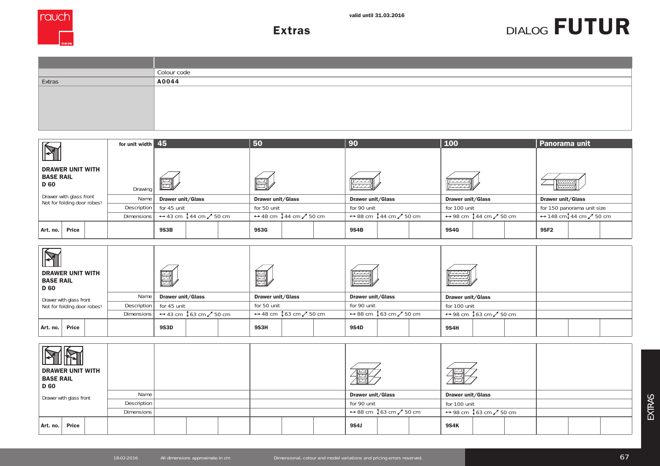

|        | Colour code |
|--------|-------------|
| Extras | A0044       |
|        |             |
|        |             |
|        |             |
|        |             |
|        |             |

|                                                            | for unit width 45                                                                |                   | 50 |                                                             |  | 90                                                          |                             |  | 100                                                         |                   |  | Panorama unit                                                |                            |  |
|------------------------------------------------------------|----------------------------------------------------------------------------------|-------------------|----|-------------------------------------------------------------|--|-------------------------------------------------------------|-----------------------------|--|-------------------------------------------------------------|-------------------|--|--------------------------------------------------------------|----------------------------|--|
| <b>DRAWER UNIT WITH</b><br><b>BASE RAIL</b><br><b>D</b> 60 | Drawinc                                                                          | 娿                 |    | 圈                                                           |  |                                                             | $\mathbb{E}$ 222<br>  paata |  |                                                             | エンシンス<br>  Exxxil |  |                                                              | E22222<br>$\mathbb{E}$     |  |
| Drawer with glass front<br>Not for folding door robes!     | Name                                                                             | Drawer unit/Glass |    | Drawer unit/Glass                                           |  |                                                             | Drawer unit/Glass           |  |                                                             | Drawer unit/Glass |  |                                                              | Drawer unit/Glass          |  |
|                                                            | Description                                                                      | for 45 unit       |    | for 50 unit                                                 |  |                                                             | for 90 unit                 |  |                                                             | for 100 unit      |  |                                                              | for 150 panorama unit size |  |
|                                                            | $\leftrightarrow$ 43 cm $\downarrow$ 44 cm $\swarrow$ 50 cm<br><b>Dimensions</b> |                   |    | $\leftrightarrow$ 48 cm $\downarrow$ 44 cm $\swarrow$ 50 cm |  | $\leftrightarrow$ 88 cm $\downarrow$ 44 cm $\swarrow$ 50 cm |                             |  | $\leftrightarrow$ 98 cm $\downarrow$ 44 cm $\swarrow$ 50 cm |                   |  | $\leftrightarrow$ 148 cm $\downarrow$ 44 cm $\swarrow$ 50 cm |                            |  |
| Price<br>Art. no.                                          |                                                                                  | 9S3B              |    | 9S3G                                                        |  |                                                             | 9S4B                        |  |                                                             | 9S4G              |  |                                                              | <b>9SF2</b>                |  |

| N<br><b>BASE RAIL</b><br><b>D</b> 60 | <b>DRAWER UNIT WITH</b>     |             | 圍                 |                                                             |  | 圓                 |                                                             |  | 117777<br>منتخف<br>ic <i>an</i><br><i>Enna</i> |                                                             | エンシン<br>(CCCCC)<br>  jeststa |                                                             |  |  |
|--------------------------------------|-----------------------------|-------------|-------------------|-------------------------------------------------------------|--|-------------------|-------------------------------------------------------------|--|------------------------------------------------|-------------------------------------------------------------|------------------------------|-------------------------------------------------------------|--|--|
|                                      | Drawer with glass front     | Name        | Drawer unit/Glass |                                                             |  | Drawer unit/Glass |                                                             |  | Drawer unit/Glass                              | Drawer unit/Glass                                           |                              |                                                             |  |  |
|                                      | Not for folding door robes! | Description | for 45 unit       |                                                             |  | for 50 unit       |                                                             |  | for 90 unit                                    |                                                             | for 100 unit                 |                                                             |  |  |
|                                      |                             | Dimensions  |                   | $\leftrightarrow$ 43 cm $\downarrow$ 63 cm $\swarrow$ 50 cm |  |                   | $\leftrightarrow$ 48 cm $\downarrow$ 63 cm $\swarrow$ 50 cm |  |                                                | $\leftrightarrow$ 88 cm $\downarrow$ 63 cm $\swarrow$ 50 cm |                              | $\leftrightarrow$ 98 cm $\downarrow$ 63 cm $\swarrow$ 50 cm |  |  |
| Art. no.                             | Price                       |             | 9S3D              |                                                             |  | <b>9S3H</b>       |                                                             |  | 9S4D                                           |                                                             | 9S4H                         |                                                             |  |  |

| <b>DRAWER UNIT WITH</b><br><b>BASE RAIL</b><br><b>D</b> 60 |             |  |  | 4#                |                                                             | 4#                                                  |  |  |  |
|------------------------------------------------------------|-------------|--|--|-------------------|-------------------------------------------------------------|-----------------------------------------------------|--|--|--|
| Drawer with glass front                                    | Name        |  |  | Drawer unit/Glass |                                                             | Drawer unit/Glass                                   |  |  |  |
|                                                            | Description |  |  | for 90 unit       |                                                             | for 100 unit                                        |  |  |  |
|                                                            | Dimensions  |  |  |                   | $\leftrightarrow$ 88 cm $\downarrow$ 63 cm $\swarrow$ 50 cm | $\sqrt{498}$ cm $\sqrt[4]{63}$ cm $\sqrt[4]{50}$ cm |  |  |  |
| Price<br>Art. no.                                          |             |  |  | 9S4J              |                                                             | 9S4K                                                |  |  |  |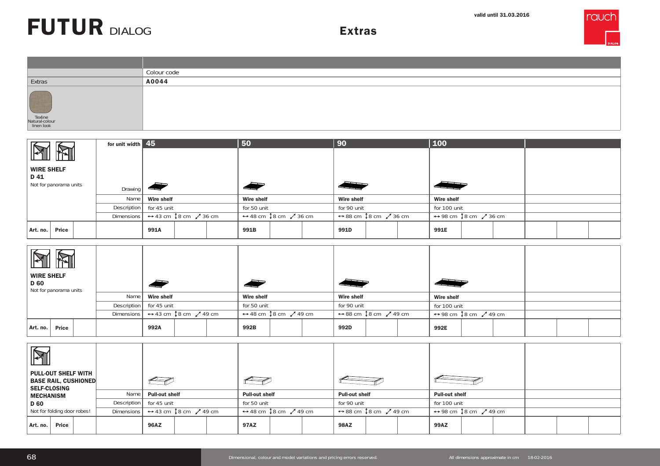# FUTUR DIALOG



|                                         |                   | Colour code |                                                            |             |                                                            |             |                                                            |              |                                                            |  |  |
|-----------------------------------------|-------------------|-------------|------------------------------------------------------------|-------------|------------------------------------------------------------|-------------|------------------------------------------------------------|--------------|------------------------------------------------------------|--|--|
| Extras                                  |                   | A0044       |                                                            |             |                                                            |             |                                                            |              |                                                            |  |  |
| Texline<br>Natural-colour<br>linen look |                   |             |                                                            |             |                                                            |             |                                                            |              |                                                            |  |  |
|                                         | for unit width 45 |             |                                                            | 50          |                                                            | 90          |                                                            | <b>100</b>   |                                                            |  |  |
|                                         |                   |             |                                                            |             |                                                            |             |                                                            |              |                                                            |  |  |
|                                         |                   |             |                                                            |             |                                                            |             |                                                            |              |                                                            |  |  |
| <b>WIRE SHELF</b>                       |                   |             |                                                            |             |                                                            |             |                                                            |              |                                                            |  |  |
| D 41<br>Not for panorama units          |                   |             |                                                            |             |                                                            |             |                                                            |              |                                                            |  |  |
|                                         | Drawing           |             |                                                            |             |                                                            |             |                                                            |              |                                                            |  |  |
|                                         | Name              | Wire shelf  |                                                            | Wire shelf  |                                                            | Wire shelf  |                                                            | Wire shelf   |                                                            |  |  |
|                                         | Description       | for 45 unit |                                                            | for 50 unit |                                                            | for 90 unit |                                                            | for 100 unit |                                                            |  |  |
|                                         | Dimensions        |             | $\leftrightarrow$ 43 cm $\downarrow$ 8 cm $\swarrow$ 36 cm |             | $\leftrightarrow$ 48 cm $\downarrow$ 8 cm $\swarrow$ 36 cm |             | $\leftrightarrow$ 88 cm $\downarrow$ 8 cm $\swarrow$ 36 cm |              | $\leftrightarrow$ 98 cm $\downarrow$ 8 cm $\swarrow$ 36 cm |  |  |
| Price<br>Art. no.                       |                   | 991A        |                                                            | 991B        |                                                            | 991D        |                                                            | 991E         |                                                            |  |  |
|                                         |                   |             |                                                            |             |                                                            |             |                                                            |              |                                                            |  |  |
|                                         |                   |             |                                                            |             |                                                            |             |                                                            |              |                                                            |  |  |
|                                         |                   |             |                                                            |             |                                                            |             |                                                            |              |                                                            |  |  |
| <b>WIRE SHELF</b><br><b>D</b> 60        |                   |             |                                                            |             |                                                            |             |                                                            |              |                                                            |  |  |
| Not for panorama units                  |                   |             |                                                            |             |                                                            |             |                                                            |              |                                                            |  |  |
|                                         | Name              | Wire shelf  |                                                            | Wire shelf  |                                                            | Wire shelf  |                                                            | Wire shelf   |                                                            |  |  |
|                                         | Description       | for 45 unit |                                                            | for 50 unit |                                                            | for 90 unit |                                                            | for 100 unit |                                                            |  |  |
|                                         | Dimensions        |             | $\leftrightarrow$ 43 cm $\downarrow$ 8 cm $\swarrow$ 49 cm |             | $\leftrightarrow$ 48 cm $\downarrow$ 8 cm $\swarrow$ 49 cm |             | $\leftrightarrow$ 88 cm $\downarrow$ 8 cm $\swarrow$ 49 cm |              | $\leftrightarrow$ 98 cm $\downarrow$ 8 cm $\swarrow$ 49 cm |  |  |
| Art. no.<br>Price                       |                   | 992A        |                                                            | 992B        |                                                            | 992D        |                                                            | 992E         |                                                            |  |  |
|                                         |                   |             |                                                            |             |                                                            |             |                                                            |              |                                                            |  |  |
|                                         |                   |             |                                                            |             |                                                            |             |                                                            |              |                                                            |  |  |

| $\mathbb{R}$                                                              |            |                         |                                                            |  |                       |                                                            |                       |                                                            |                       |                                                            |  |  |
|---------------------------------------------------------------------------|------------|-------------------------|------------------------------------------------------------|--|-----------------------|------------------------------------------------------------|-----------------------|------------------------------------------------------------|-----------------------|------------------------------------------------------------|--|--|
| PULL-OUT SHELF WITH<br><b>BASE RAIL, CUSHIONED</b><br><b>SELF-CLOSING</b> |            |                         |                                                            |  |                       |                                                            |                       |                                                            |                       |                                                            |  |  |
| <b>MECHANISM</b>                                                          | Name       | <b>Pull-out shelf</b>   |                                                            |  | <b>Pull-out shelf</b> |                                                            | <b>Pull-out shelf</b> |                                                            | <b>Pull-out shelf</b> |                                                            |  |  |
| <b>D</b> 60                                                               |            | Description for 45 unit | for 50 unit                                                |  |                       |                                                            | for 90 unit           |                                                            | for 100 unit          |                                                            |  |  |
| Not for folding door robes!                                               | Dimensions |                         | $\leftrightarrow$ 43 cm $\downarrow$ 8 cm $\swarrow$ 49 cm |  |                       | $\leftrightarrow$ 48 cm $\downarrow$ 8 cm $\swarrow$ 49 cm |                       | $\leftrightarrow$ 88 cm $\downarrow$ 8 cm $\swarrow$ 49 cm |                       | $\leftrightarrow$ 98 cm $\downarrow$ 8 cm $\swarrow$ 49 cm |  |  |
| Price<br>Art. no.                                                         |            | <b>96AZ</b>             |                                                            |  | 97AZ                  |                                                            | 98AZ                  |                                                            | 99AZ                  |                                                            |  |  |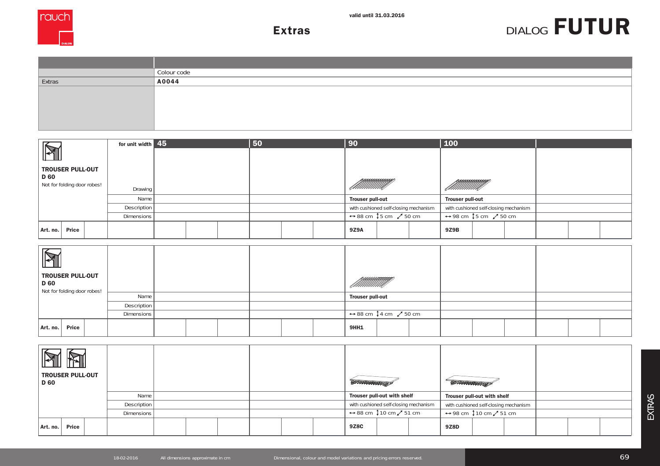

|        | Colour code |
|--------|-------------|
| Extras | A0044       |
|        |             |
|        |             |
|        |             |
|        |             |
|        |             |

|                                        |       | for unit width 45 |  | 50 |  |  | 90                      |                                                                                                                                                                                                                                  | 100                     |                                                              |  |  |
|----------------------------------------|-------|-------------------|--|----|--|--|-------------------------|----------------------------------------------------------------------------------------------------------------------------------------------------------------------------------------------------------------------------------|-------------------------|--------------------------------------------------------------|--|--|
| <b>TROUSER PULL-OUT</b><br><b>D</b> 60 |       |                   |  |    |  |  |                         |                                                                                                                                                                                                                                  |                         |                                                              |  |  |
| Not for folding door robes!            |       | Drawing           |  |    |  |  |                         | filiittiitti ja kunna kunna kunna kunna kunna kunna kunna kunna kunna kunna kunna kunna kunna kunna kunna kunn<br>Kunna kunna kunna kunna kunna kunna kunna kunna kunna kunna kunna kunna kunna kunna kunna kunna kunna kunna ku | ffilillillilli          |                                                              |  |  |
|                                        |       | Name              |  |    |  |  | <b>Trouser pull-out</b> |                                                                                                                                                                                                                                  | <b>Trouser pull-out</b> |                                                              |  |  |
|                                        |       | Description       |  |    |  |  |                         | with cushioned self-closing mechanism                                                                                                                                                                                            |                         | with cushioned self-closing mechanism                        |  |  |
|                                        |       | Dimensions        |  |    |  |  |                         | $\leftrightarrow$ 88 cm $\updownarrow$ 5 cm $\swarrow$ 50 cm                                                                                                                                                                     |                         | $\leftrightarrow$ 98 cm $\updownarrow$ 5 cm $\swarrow$ 50 cm |  |  |
| Art. no.                               | Price |                   |  |    |  |  | 9Z9A                    |                                                                                                                                                                                                                                  | 9Z9B                    |                                                              |  |  |

| <b>TROUSER PULL-OUT</b><br><b>D</b> 60<br>Not for folding door robes! |             |  |  |  | filititititik           |                                                            |  |  |  |  |
|-----------------------------------------------------------------------|-------------|--|--|--|-------------------------|------------------------------------------------------------|--|--|--|--|
|                                                                       | Name        |  |  |  | <b>Trouser pull-out</b> |                                                            |  |  |  |  |
|                                                                       | Description |  |  |  |                         |                                                            |  |  |  |  |
|                                                                       | Dimensions  |  |  |  |                         | $\leftrightarrow$ 88 cm $\downarrow$ 4 cm $\swarrow$ 50 cm |  |  |  |  |
| Art. no. Price                                                        |             |  |  |  | <b>9HH1</b>             |                                                            |  |  |  |  |

| <b>TROUSER PULL-OUT</b><br><b>D</b> 60 |             |  |  |  | TUUTUUTAN |                                                             | Counterant |                                                             |  |  |
|----------------------------------------|-------------|--|--|--|-----------|-------------------------------------------------------------|------------|-------------------------------------------------------------|--|--|
|                                        | Name        |  |  |  |           | Trouser pull-out with shelf                                 |            | Trouser pull-out with shelf                                 |  |  |
|                                        | Description |  |  |  |           | with cushioned self-closing mechanism                       |            | with cushioned self-closing mechanism                       |  |  |
|                                        | Dimensions  |  |  |  |           | $\leftrightarrow$ 88 cm $\downarrow$ 10 cm $\swarrow$ 51 cm |            | $\leftrightarrow$ 98 cm $\downarrow$ 10 cm $\swarrow$ 51 cm |  |  |
| Price<br>Art. no.                      |             |  |  |  | 9Z8C      |                                                             | 9Z8D       |                                                             |  |  |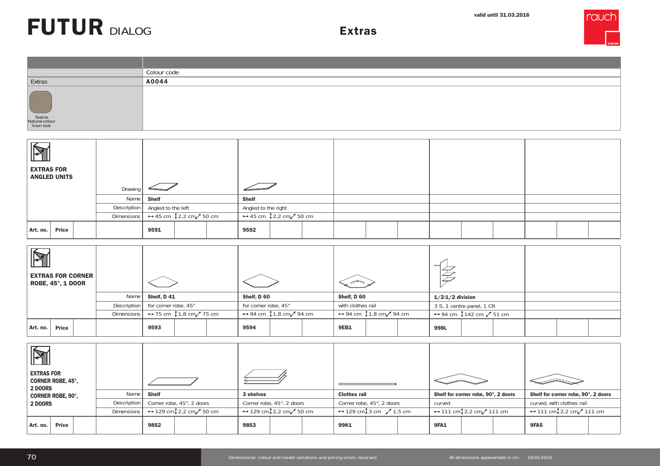# FUTUR DIALOG



|                                         |                                               |             | Colour code          |                                                              |                      |                                                              |                   |                                                              |                    |                                                              |  |  |
|-----------------------------------------|-----------------------------------------------|-------------|----------------------|--------------------------------------------------------------|----------------------|--------------------------------------------------------------|-------------------|--------------------------------------------------------------|--------------------|--------------------------------------------------------------|--|--|
| Extras                                  |                                               |             | A0044                |                                                              |                      |                                                              |                   |                                                              |                    |                                                              |  |  |
| Texline<br>Natural-colour<br>linen look |                                               |             |                      |                                                              |                      |                                                              |                   |                                                              |                    |                                                              |  |  |
| <b>EXTRAS FOR</b>                       | <b>ANGLED UNITS</b>                           | Drawing     |                      |                                                              |                      |                                                              |                   |                                                              |                    |                                                              |  |  |
|                                         |                                               | Name        | Shelf                |                                                              | Shelf                |                                                              |                   |                                                              |                    |                                                              |  |  |
|                                         |                                               | Description | Angled to the left   |                                                              | Angled to the right  |                                                              |                   |                                                              |                    |                                                              |  |  |
|                                         |                                               | Dimensions  |                      | $\leftrightarrow$ 45 cm $\downarrow$ 2,2 cm $\swarrow$ 50 cm |                      | $\leftrightarrow$ 45 cm $\downarrow$ 2,2 cm $\swarrow$ 50 cm |                   |                                                              |                    |                                                              |  |  |
| Art. no.                                | Price                                         |             | 9591                 |                                                              | 9592                 |                                                              |                   |                                                              |                    |                                                              |  |  |
|                                         | <b>EXTRAS FOR CORNER</b><br>ROBE, 45°, 1 DOOR |             |                      |                                                              |                      |                                                              |                   |                                                              |                    |                                                              |  |  |
|                                         |                                               | Name        | Shelf, D 41          |                                                              | Shelf, D 60          |                                                              | Shelf, D 60       |                                                              | $1/2-1/2$ division |                                                              |  |  |
|                                         |                                               | Description | for corner robe, 45° |                                                              | for corner robe, 45° |                                                              | with clothes rail |                                                              |                    | 3 S, 1 centre panel, 1 CR                                    |  |  |
|                                         |                                               | Dimensions  |                      | $\leftrightarrow$ 75 cm $\downarrow$ 1,8 cm $\swarrow$ 75 cm |                      | $\leftrightarrow$ 94 cm $\downarrow$ 1,8 cm $\swarrow$ 94 cm |                   | $\leftrightarrow$ 94 cm $\downarrow$ 1,8 cm $\swarrow$ 94 cm |                    | $\leftrightarrow$ 94 cm $\downarrow$ 142 cm $\swarrow$ 51 cm |  |  |
| Art. no.                                | Price                                         |             | 9593                 |                                                              | 9594                 |                                                              | <b>9EB1</b>       |                                                              | 998L               |                                                              |  |  |
| <b>EXTRAS FOR</b>                       |                                               |             |                      |                                                              |                      | Þ.                                                           |                   |                                                              |                    |                                                              |  |  |

| <b>EXTRAS FOR</b><br><b>CORNER ROBE, 45°,</b><br><b>2 DOORS</b> |              |             |                                                               |             |                                                                 |                     |                                                              |             |                                                                  |      |                                                                  |  |
|-----------------------------------------------------------------|--------------|-------------|---------------------------------------------------------------|-------------|-----------------------------------------------------------------|---------------------|--------------------------------------------------------------|-------------|------------------------------------------------------------------|------|------------------------------------------------------------------|--|
| <b>CORNER ROBE, 90°,</b>                                        | Name         | Shelf       |                                                               | 3 shelves   |                                                                 | <b>Clothes rail</b> |                                                              |             | Shelf for corner robe, 90°, 2 doors                              |      | Shelf for corner robe, 90°, 2 doors                              |  |
| <b>2 DOORS</b>                                                  | Description  |             | Corner robe, 45°, 2 doors                                     |             | Corner robe, 45°, 2 doors                                       |                     | Corner robe, 45°, 2 doors                                    | curved      |                                                                  |      | curved, with clothes rail                                        |  |
|                                                                 | Dimensions I |             | $\leftrightarrow$ 129 cm $\downarrow$ 2,2 cm $\swarrow$ 50 cm |             | $\leftrightarrow$ 129 cm $\updownarrow$ 2,2 cm $\swarrow$ 50 cm |                     | $\leftrightarrow$ 129 cm $\downarrow$ 3 cm $\swarrow$ 1,5 cm |             | $\leftrightarrow$ 111 cm $\updownarrow$ 2.2 cm $\swarrow$ 111 cm |      | $\leftrightarrow$ 111 cm $\updownarrow$ 2,2 cm $\swarrow$ 111 cm |  |
| Price<br>Art. no.                                               |              | <b>98S2</b> |                                                               | <b>98S3</b> |                                                                 | 99K1                |                                                              | <b>9FA1</b> |                                                                  | 9FA5 |                                                                  |  |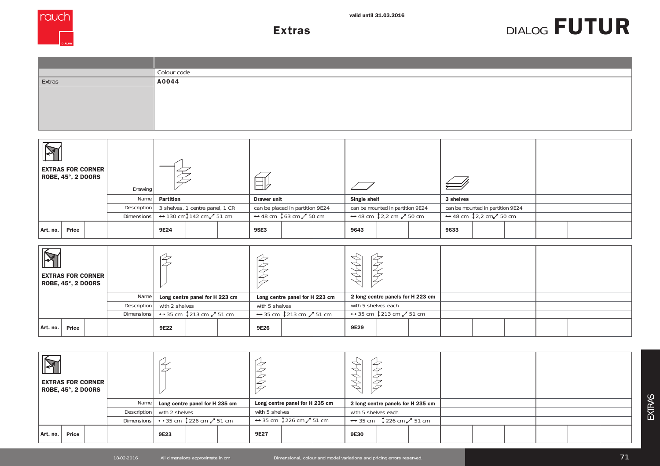

|        | Colour code |
|--------|-------------|
| Extras | A0044       |
|        |             |
|        |             |
|        |             |
|        |             |
|        |             |

| <b>EXTRAS FOR CORNER</b><br><b>ROBE, 45°, 2 DOORS</b> | Drawing     |                                                               |                                                             |                                                              |                                                              |  |
|-------------------------------------------------------|-------------|---------------------------------------------------------------|-------------------------------------------------------------|--------------------------------------------------------------|--------------------------------------------------------------|--|
|                                                       | Name        | Partition                                                     | <b>Drawer unit</b>                                          | Single shelf                                                 | 3 shelves                                                    |  |
|                                                       | Description | 3 shelves, 1 centre panel, 1 CR                               | can be placed in partition 9E24                             | can be mounted in partition 9E24                             | can be mounted in partition 9E24                             |  |
|                                                       | Dimensions  | $\leftrightarrow$ 130 cm $\downarrow$ 142 cm $\swarrow$ 51 cm | $\leftrightarrow$ 48 cm $\downarrow$ 63 cm $\swarrow$ 50 cm | $\leftrightarrow$ 48 cm $\downarrow$ 2,2 cm $\swarrow$ 50 cm | $\leftrightarrow$ 48 cm $\downarrow$ 2,2 cm $\swarrow$ 50 cm |  |
| Price<br>Art. no.                                     |             | 9E24                                                          | <b>9SE3</b>                                                 | 9643                                                         | 9633                                                         |  |

| <b>EXTRAS FOR CORNER</b><br><b>ROBE, 45°, 2 DOORS</b> |             | سطحہ،<br>Þ                                                   | İ              |                                                              | $\Rightarrow$<br>$\Rightarrow$<br>$\Rightarrow$ |                                                              |  |  |  |  |
|-------------------------------------------------------|-------------|--------------------------------------------------------------|----------------|--------------------------------------------------------------|-------------------------------------------------|--------------------------------------------------------------|--|--|--|--|
|                                                       | Name        | Long centre panel for H 223 cm                               |                | Long centre panel for H 223 cm                               |                                                 | 2 long centre panels for H 223 cm                            |  |  |  |  |
|                                                       | Description | with 2 shelves                                               | with 5 shelves |                                                              | with 5 shelves each                             |                                                              |  |  |  |  |
|                                                       | Dimensions  | $\leftrightarrow$ 35 cm $\downarrow$ 213 cm $\swarrow$ 51 cm |                | $\leftrightarrow$ 35 cm $\downarrow$ 213 cm $\swarrow$ 51 cm |                                                 | $\leftrightarrow$ 35 cm $\downarrow$ 213 cm $\swarrow$ 51 cm |  |  |  |  |
| Art. no.<br>Price                                     |             | 9E22                                                         | 9E26           |                                                              | 9E29                                            |                                                              |  |  |  |  |

|          | <b>EXTRAS FOR CORNER</b><br><b>ROBE, 45°, 2 DOORS</b> |             |                |                                                              |                |                                                              | ∠<br>1<br>$\Rightarrow$<br>$\Rightarrow$<br>∠<br>$\overrightarrow{a}$ |                                                              |  |  |  |  |
|----------|-------------------------------------------------------|-------------|----------------|--------------------------------------------------------------|----------------|--------------------------------------------------------------|-----------------------------------------------------------------------|--------------------------------------------------------------|--|--|--|--|
|          |                                                       | Name        |                | Long centre panel for H 235 cm                               |                | Long centre panel for H 235 cm                               |                                                                       | 2 long centre panels for H 235 cm                            |  |  |  |  |
|          |                                                       | Description | with 2 shelves |                                                              | with 5 shelves |                                                              | with 5 shelves each                                                   |                                                              |  |  |  |  |
|          |                                                       | Dimensions  |                | $\leftrightarrow$ 35 cm $\downarrow$ 226 cm $\swarrow$ 51 cm |                | $\leftrightarrow$ 35 cm $\downarrow$ 226 cm $\swarrow$ 51 cm |                                                                       | $\leftrightarrow$ 35 cm $\downarrow$ 226 cm $\swarrow$ 51 cm |  |  |  |  |
| Art. no. | Price                                                 |             | <b>9E23</b>    |                                                              | 9E27           |                                                              | <b>9E30</b>                                                           |                                                              |  |  |  |  |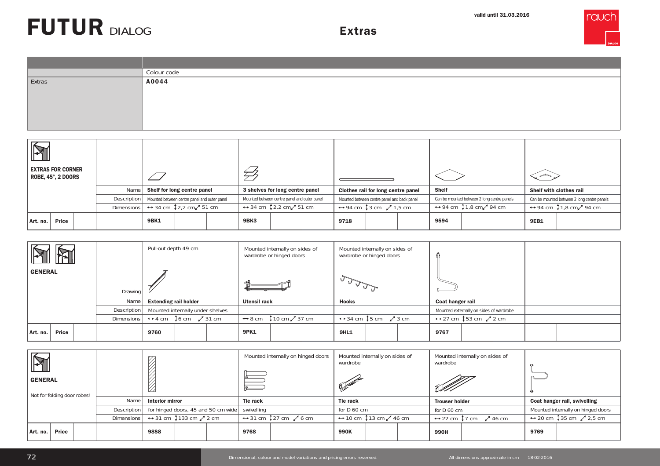## FUTUR DIALOG



|        | Colour code |
|--------|-------------|
| Extras | A0044       |
|        |             |
|        |             |
|        |             |
|        |             |
|        |             |

| $\boxed{\mathbb{N}}$ |                                                       |             |             |                                                              |                               |                                                              |                                                             |              |                                                              |                         |                                                              |  |
|----------------------|-------------------------------------------------------|-------------|-------------|--------------------------------------------------------------|-------------------------------|--------------------------------------------------------------|-------------------------------------------------------------|--------------|--------------------------------------------------------------|-------------------------|--------------------------------------------------------------|--|
|                      | <b>EXTRAS FOR CORNER</b><br><b>ROBE, 45°, 2 DOORS</b> |             |             |                                                              | $\overline{\phantom{a}}$<br>⇐ |                                                              |                                                             |              |                                                              |                         |                                                              |  |
|                      |                                                       | Nam         |             | Shelf for long centre panel                                  |                               | 3 shelves for long centre panel                              | Clothes rail for long centre panel                          | <b>Shelf</b> |                                                              | Shelf with clothes rail |                                                              |  |
|                      |                                                       | Description |             | Mounted between centre panel and outer panel                 |                               | Mounted between centre panel and outer panel                 | Mounted between centre panel and back panel                 |              | Can be mounted between 2 long centre panels                  |                         | Can be mounted between 2 long centre panels                  |  |
|                      |                                                       | Dimensions  |             | $\leftrightarrow$ 34 cm $\downarrow$ 2.2 cm $\swarrow$ 51 cm |                               | $\leftrightarrow$ 34 cm $\downarrow$ 2.2 cm $\swarrow$ 51 cm | $\leftrightarrow$ 94 cm $\downarrow$ 3 cm $\swarrow$ 1,5 cm |              | $\leftrightarrow$ 94 cm $\downarrow$ 1,8 cm $\swarrow$ 94 cm |                         | $\leftrightarrow$ 94 cm $\downarrow$ 1.8 cm $\swarrow$ 94 cm |  |
| Art. no.             | Price                                                 |             | <b>9BK1</b> |                                                              | <b>9BK3</b>                   |                                                              | 9718                                                        | 9594         |                                                              | <b>9EB1</b>             |                                                              |  |

|                   |             | Pull-out depth 49 cm                                      |                        | Mounted internally on sides of<br>wardrobe or hinged doors |          | Mounted internally on sides of<br>wardrobe or hinged doors |                  |                                                            |  |  |
|-------------------|-------------|-----------------------------------------------------------|------------------------|------------------------------------------------------------|----------|------------------------------------------------------------|------------------|------------------------------------------------------------|--|--|
| <b>GENERAL</b>    | Drawing     |                                                           |                        |                                                            | The mean |                                                            |                  |                                                            |  |  |
|                   | Name        | <b>Extending rail holder</b>                              | <b>Utensil rack</b>    |                                                            | Hooks    |                                                            | Coat hanger rail |                                                            |  |  |
|                   | Description | Mounted internally under shelves                          |                        |                                                            |          |                                                            |                  | Mounted externally on sides of wardrobe                    |  |  |
|                   | Dimensions  | $\leftrightarrow$ 4 cm $\downarrow$ 6 cm $\swarrow$ 31 cm | $\leftrightarrow$ 8 cm | $10 \text{ cm}$ / 37 cm                                    |          | $\leftrightarrow$ 34 cm $\downarrow$ 5 cm $\swarrow$ 3 cm  |                  | $\leftrightarrow$ 27 cm $\downarrow$ 53 cm $\swarrow$ 2 cm |  |  |
| Price<br>Art. no. |             | 9760                                                      | <b>9PK1</b>            |                                                            | 9HL1     |                                                            | 9767             |                                                            |  |  |

|          | <b>GENERAL</b><br>Not for folding door robes! |  |             |                        |                                                             |          | Mounted internally on hinged doors                         | Mounted internally on sides of<br>wardrobe<br><b>Alleged</b> | wardrobe<br>$\sqrt{2}$ | Mounted internally on sides of                             | $-$  |                                                              |  |
|----------|-----------------------------------------------|--|-------------|------------------------|-------------------------------------------------------------|----------|------------------------------------------------------------|--------------------------------------------------------------|------------------------|------------------------------------------------------------|------|--------------------------------------------------------------|--|
|          |                                               |  | Name        | <b>Interior mirror</b> |                                                             | Tie rack |                                                            | Tie rack                                                     | <b>Trouser holder</b>  |                                                            |      | Coat hanger rail, swivelling                                 |  |
|          |                                               |  | Description |                        | for hinged doors, 45 and 50 cm wide   swivelling            |          |                                                            | for D 60 cm                                                  | for D 60 cm            |                                                            |      | Mounted internally on hinged doors                           |  |
|          |                                               |  | Dimensions  |                        | $\leftrightarrow$ 31 cm $\downarrow$ 133 cm $\swarrow$ 2 cm |          | $\leftrightarrow$ 31 cm $\downarrow$ 27 cm $\swarrow$ 6 cm | $\leftrightarrow$ 10 cm $\downarrow$ 13 cm $\swarrow$ 46 cm  |                        | $\leftrightarrow$ 22 cm $\downarrow$ 7 cm $\swarrow$ 46 cm |      | $\leftrightarrow$ 20 cm $\downarrow$ 35 cm $\swarrow$ 2,5 cm |  |
| Art. no. | Price                                         |  |             | <b>98S8</b>            |                                                             | 9768     |                                                            | 990K                                                         | 990H                   |                                                            | 9769 |                                                              |  |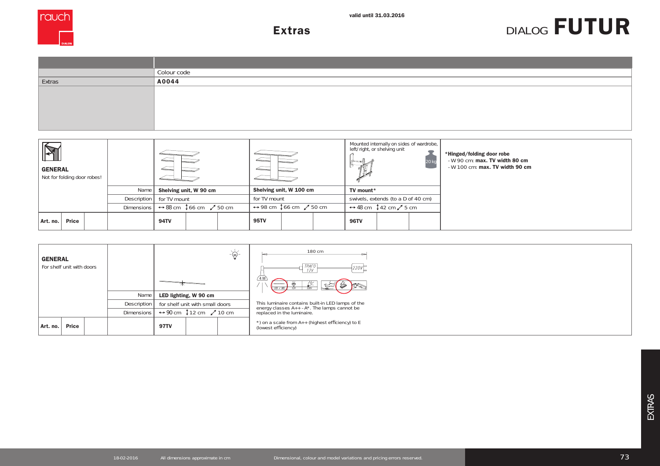

|        | Colour code |
|--------|-------------|
| Extras | A0044       |
|        |             |
|        |             |
|        |             |
|        |             |
|        |             |

| <b>GENERAL</b> | Not for folding door robes! |                                                                              | $\leftharpoondown$<br>$\leftarrow$ |                        | $\leftarrow$<br>⊂ |                                                             | lf—di<br>T)! | left/right, or shelving unit                               | Mounted internally on sides of wardrobe, | *Hinged/folding door robe<br>$\cdot$ W 90 cm: max. TV width 80 cm<br>$\cdot$ W 100 cm: max. TV width 90 cm |
|----------------|-----------------------------|------------------------------------------------------------------------------|------------------------------------|------------------------|-------------------|-------------------------------------------------------------|--------------|------------------------------------------------------------|------------------------------------------|------------------------------------------------------------------------------------------------------------|
|                |                             | Name                                                                         |                                    | Shelving unit, W 90 cm |                   | Shelving unit, W 100 cm                                     | TV mount*    |                                                            |                                          |                                                                                                            |
|                |                             |                                                                              | Description   for TV mount         |                        | for TV mount      |                                                             |              | swivels, extends (to a D of 40 cm)                         |                                          |                                                                                                            |
|                |                             | Dimensions $\vert \leftrightarrow$ 88 cm $\downarrow$ 66 cm $\swarrow$ 50 cm |                                    |                        |                   | $\leftrightarrow$ 98 cm $\downarrow$ 66 cm $\swarrow$ 50 cm |              | $\leftrightarrow$ 48 cm $\downarrow$ 42 cm $\swarrow$ 5 cm |                                          |                                                                                                            |
| Art. no.       | Price                       |                                                                              | <b>94TV</b>                        |                        | <b>95TV</b>       |                                                             | <b>96TV</b>  |                                                            |                                          |                                                                                                            |

| <b>GENERAL</b><br>For shelf unit with doors |                   | いん                                                          | 180 cm<br>TRAFO<br>220VE<br>12V<br>(4W)<br>←<br>LED / DEI                  |
|---------------------------------------------|-------------------|-------------------------------------------------------------|----------------------------------------------------------------------------|
|                                             | Name              | LED lighting, W 90 cm                                       |                                                                            |
|                                             | Description       | for shelf unit with small doors                             | This luminaire contains built-in LED lamps of the                          |
|                                             | <b>Dimensions</b> | $\leftrightarrow$ 90 cm $\downarrow$ 12 cm $\swarrow$ 10 cm | energy classes A++ · A*. The lamps cannot be<br>replaced in the luminaire. |
| Price<br>Art. no.                           |                   | <b>97TV</b>                                                 | *) on a scale from A++ (highest efficiency) to E<br>(lowest efficiency)    |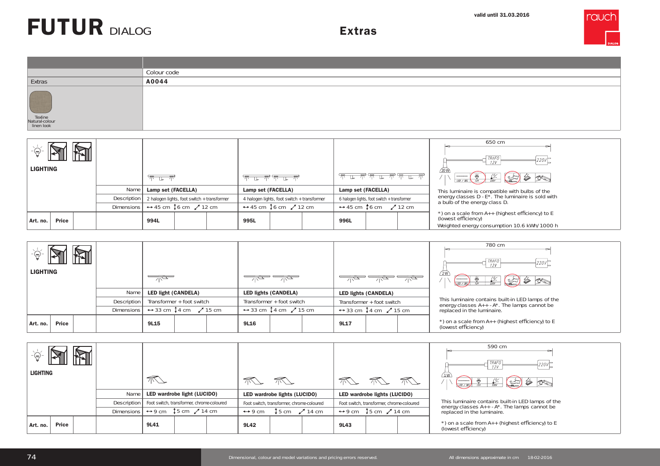## FUTUR DIALOG



|                                         | Colour code |
|-----------------------------------------|-------------|
| Extras                                  | A0044       |
| Texline<br>Natural-colour<br>linen look |             |

| <b>LIGHTING</b> |       |                                                                     |                                                           |  |                    |                                                            |                    |                                                          | 650 cm<br><b>TRAFO</b><br>1220V<br>12V                                                                                                    |
|-----------------|-------|---------------------------------------------------------------------|-----------------------------------------------------------|--|--------------------|------------------------------------------------------------|--------------------|----------------------------------------------------------|-------------------------------------------------------------------------------------------------------------------------------------------|
|                 |       |                                                                     | 유 고 규                                                     |  |                    | <del>កি ភូមិ ភូមិ</del>                                    |                    | <u>ਸੰ ਪਾ ਨਾ ਵਿੱਚ ਹੋਇਆ ਹੈ।</u>                            | $\angle 20 \mathsf{W}$<br>$\Box$<br>000000000<br>$\ddot{\bullet}$<br>$LED / DEL$ $12V$                                                    |
|                 |       | Name I                                                              | Lamp set (FACELLA)                                        |  | Lamp set (FACELLA) |                                                            | Lamp set (FACELLA) |                                                          |                                                                                                                                           |
|                 |       |                                                                     | Description   2 halogen lights, foot switch + transformer |  |                    | 4 halogen lights, foot switch + transformer                |                    | 6 halogen lights, foot switch + transformer              | This luminaire is compatible with bulbs of the energy classes $D \cdot E^*$ . The luminaire is sold with<br>a bulb of the energy class D. |
|                 |       | Dimensions $\rightarrow$ 45 cm $\updownarrow$ 6 cm $\swarrow$ 12 cm |                                                           |  |                    | $\leftrightarrow$ 45 cm $\downarrow$ 6 cm $\swarrow$ 12 cm |                    | $\leftrightarrow$ 45 cm $\uparrow$ 6 cm $\swarrow$ 12 cm |                                                                                                                                           |
| Art. no.        | Price |                                                                     | 994L                                                      |  | 995L               |                                                            | 996L               |                                                          | $*$ ) on a scale from A++ (highest efficiency) to E<br>(lowest efficiency)<br>Weighted energy consumption 10.6 kWh/1000 h                 |

| <b>LIGHTING</b> |       |             | سعيلاس              |                                                            |             |                                                            |      |                                                            | 780 cm<br>TRAFO<br>220VE<br>$\angle 2W$<br>$(\Leftrightarrow \diamondsuit)$ $\diamondsuit$<br>$\frac{\alpha}{220V}$<br>$\oplus$  |
|-----------------|-------|-------------|---------------------|------------------------------------------------------------|-------------|------------------------------------------------------------|------|------------------------------------------------------------|----------------------------------------------------------------------------------------------------------------------------------|
|                 |       | Name        | LED light (CANDELA) |                                                            |             | <b>LED lights (CANDELA)</b>                                |      | <b>LED lights (CANDELA)</b>                                |                                                                                                                                  |
|                 |       | Description |                     | Transformer + foot switch                                  |             | Transformer + foot switch                                  |      | Transformer + foot switch                                  | This luminaire contains built-in LED lamps of the<br>energy classes $A++A^*$ . The lamps cannot be<br>replaced in the luminaire. |
|                 |       | Dimensions  |                     | $\leftrightarrow$ 33 cm $\downarrow$ 4 cm $\swarrow$ 15 cm |             | $\leftrightarrow$ 33 cm $\downarrow$ 4 cm $\swarrow$ 15 cm |      | $\leftrightarrow$ 33 cm $\downarrow$ 4 cm $\swarrow$ 15 cm |                                                                                                                                  |
| Art. no.        | Price |             | 9L15                |                                                            | <b>9L16</b> |                                                            | 9L17 |                                                            | $*$ ) on a scale from A++ (highest efficiency) to E<br>(lowest efficiency)                                                       |

| <b>LIGHTING</b>   |            | $\widehat{\pi}$                                           |                        |                                           | $\pi$       |                                                           | 590 cm<br>$-$ TRAFO<br>220V<br>12V<br>△₩<br>ጅ<br>$\gg$ as<br>$\leq$<br>$I$ $\circ \circ \circ \circ \circ \circ \circ$<br>LED / DEL |
|-------------------|------------|-----------------------------------------------------------|------------------------|-------------------------------------------|-------------|-----------------------------------------------------------|-------------------------------------------------------------------------------------------------------------------------------------|
|                   | Name       | LED wardrobe light (LUCIDO)                               |                        | LED wardrobe lights (LUCIDO)              |             | LED wardrobe lights (LUCIDO)                              |                                                                                                                                     |
|                   |            | Description   Foot switch, transformer, chrome-coloured   |                        | Foot switch, transformer, chrome-coloured |             | Foot switch, transformer, chrome-coloured                 | This luminaire contains built-in LED lamps of the                                                                                   |
|                   | Dimensions | $\leftrightarrow$ 9 cm $\downarrow$ 5 cm $\swarrow$ 14 cm | $\leftrightarrow$ 9 cm | $\text{15 cm}$ / 14 cm                    |             | $\leftrightarrow$ 9 cm $\downarrow$ 5 cm $\swarrow$ 14 cm | energy classes $A++A^*$ . The lamps cannot be replaced in the luminaire.                                                            |
| Price<br>Art. no. |            | 9L41                                                      | 9L42                   |                                           | <b>9L43</b> |                                                           | *) on a scale from A++ (highest efficiency) to E<br>(lowest efficiency)                                                             |